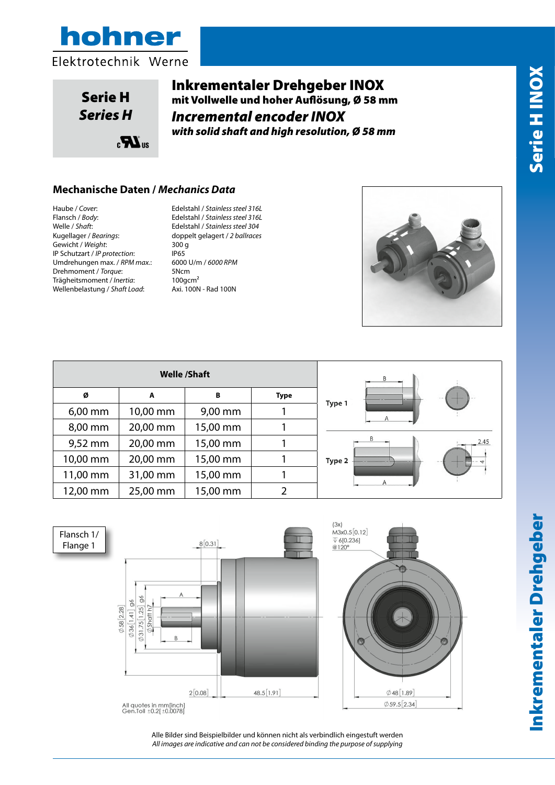

Serie H *Series H*

Inkrementaler Drehgeber INOX mit Vollwelle und hoher Auflösung, Ø 58 mm *Incremental encoder INOX with solid shaft and high resolution, Ø 58 mm*

# **Mechanische Daten /** *Mechanics Data*

 $\mathbf{R}_{\mathrm{a}}$ 

Haube / *Cover*: Edelstahl / *Stainless steel 316L* Welle / *Shaft*: Edelstahl / *Stainless steel 304* kugellager / *Bearings*: doppelt gelagert / *2 ballraces*<br>
Kugellager / *Bearings*: doppelt gelagert / 2 *ballraces* Gewicht / *Weight*: 300 g IP Schutzart / *IP protection*: IP65 Umdrehungen max. / *RPM max.*: 6000 U/m / *6000 RPM*  Drehmoment / *Torque*: 5Ncm<br>Trägheitsmoment / *Inertia*: 100gcm<sup>2</sup> Trägheitsmoment / *Inertia*: 100gcm<sup>2</sup><br>Wellenbelastung / Shaft Load: Axi. 100N - Rad 100N Wellenbelastung / Shaft Load: nax.:<br>

Rev 0

Flansch / *Body*: Edelstahl / *Stainless steel 316L*



| <b>Welle /Shaft</b> |          |          |             |             |  |  |
|---------------------|----------|----------|-------------|-------------|--|--|
| Ø                   | A        | в        | <b>Type</b> |             |  |  |
| $6,00$ mm           | 10,00 mm | 9,00 mm  |             | Type        |  |  |
| 8,00 mm             | 20,00 mm | 15,00 mm |             |             |  |  |
| 9,52 mm             | 20,00 mm | 15,00 mm | 1           |             |  |  |
| 10,00 mm            | 20,00 mm | 15,00 mm | 1           | <b>Type</b> |  |  |
| 11,00 mm            | 31,00 mm | 15,00 mm |             |             |  |  |
| 12,00 mm            | 25,00 mm | 15,00 mm | 7           |             |  |  |







Alle Bilder sind Beispielbilder und können nicht als verbindlich eingestuft werden All images are indicative and can not be considered binding the purpose of supplying *All images are indicative and can not be considered binding the purpose of supplying*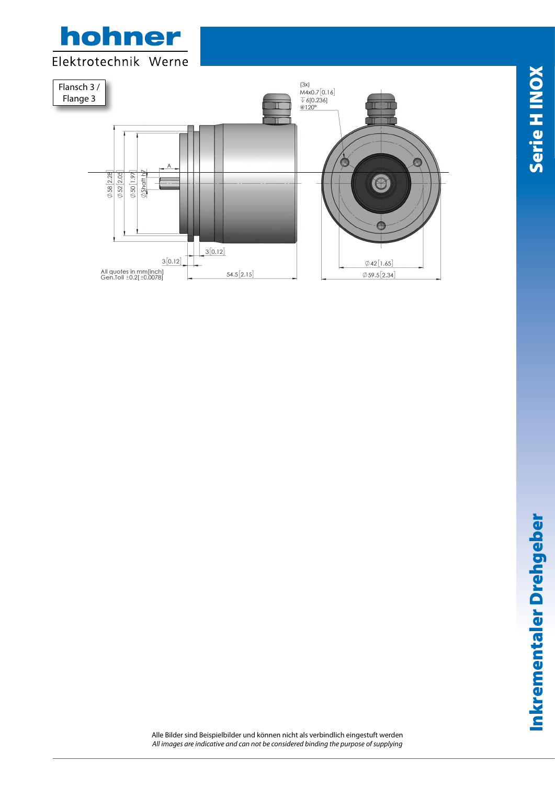



www.hohner.it

Alle Bilder sind Beispielbilder und können nicht als verbindlich eingestuft werden *All images are indicative and can not be considered binding the purpose of supplying*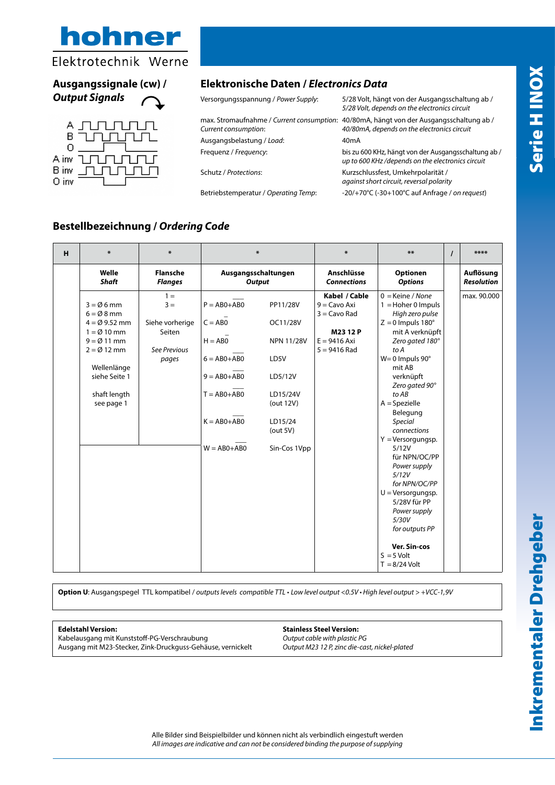

## **Ausgangssignale (cw) /**  *Output Signals*



### **Elektronische Daten /** *Electronics Data*

Versorgungsspannung / *Power Supply*: 5/28 Volt, hängt von der Ausgangsschaltung ab / max. Stromaufnahme / *Current consumption*: 40/80mA, hängt von der Ausgangsschaltung ab / *Current consumption*: *40/80mA, depends on the electronics circuit* Ausgangsbelastung / Load: 40mA

Betriebstemperatur / *Operating Temp*: -20/+70°C (-30+100°C auf Anfrage / *on request*)

*5/28 Volt, depends on the electronics circuit*

Frequenz / *Frequency*: bis zu 600 KHz, hängt von der Ausgangsschaltung ab / *up to 600 KHz /depends on the electronics circuit*

Schutz / *Protections*: Kurzschlussfest, Umkehrpolarität / *against short circuit, reversal polarity* 

**Bestellbezeichnung /** *Ordering Code*

| н | $\ast$                                                                                                                                                                                                           | $\ast$                                                               | $\ast$                                                                                                                               |                                                                                                                                 | ₩                                                                                                      | $***$                                                                                                                                                                                                                                                                                                                                                                                                                                                                                                                          | $\prime$ | ****                           |
|---|------------------------------------------------------------------------------------------------------------------------------------------------------------------------------------------------------------------|----------------------------------------------------------------------|--------------------------------------------------------------------------------------------------------------------------------------|---------------------------------------------------------------------------------------------------------------------------------|--------------------------------------------------------------------------------------------------------|--------------------------------------------------------------------------------------------------------------------------------------------------------------------------------------------------------------------------------------------------------------------------------------------------------------------------------------------------------------------------------------------------------------------------------------------------------------------------------------------------------------------------------|----------|--------------------------------|
|   | Welle<br><b>Shaft</b>                                                                                                                                                                                            | <b>Flansche</b><br><b>Flanges</b>                                    | Ausgangsschaltungen<br><b>Output</b>                                                                                                 |                                                                                                                                 | Anschlüsse<br><b>Connections</b>                                                                       | Optionen<br><b>Options</b>                                                                                                                                                                                                                                                                                                                                                                                                                                                                                                     |          | Auflösung<br><b>Resolution</b> |
|   | $3 = \emptyset$ 6 mm<br>$6 = \emptyset 8$ mm<br>$4 = \emptyset$ 9.52 mm<br>$1 = \emptyset$ 10 mm<br>$9 = \emptyset$ 11 mm<br>$2 = \emptyset$ 12 mm<br>Wellenlänge<br>siehe Seite 1<br>shaft length<br>see page 1 | $1 =$<br>$3 =$<br>Siehe vorherige<br>Seiten<br>See Previous<br>pages | $P = ABO + ABO$<br>$C = A B 0$<br>$H = ABO$<br>$6 = AB0+AB0$<br>$9 = AB0 + AB0$<br>$T = AB0+AB0$<br>$K = AB0+AB0$<br>$W = AB0 + AB0$ | PP11/28V<br>OC11/28V<br><b>NPN 11/28V</b><br>LD5V<br>LD5/12V<br>LD15/24V<br>(out 12V)<br>LD15/24<br>(out $5V$ )<br>Sin-Cos 1Vpp | Kabel / Cable<br>$9 = \text{Cavo Axi}$<br>$3 =$ Cavo Rad<br>M2312P<br>$E = 9416$ Axi<br>$5 = 9416$ Rad | $0 =$ Keine / None<br>$1 =$ Hoher 0 Impuls<br>High zero pulse<br>$Z = 0$ Impuls 180 $^{\circ}$<br>mit A verknüpft<br>Zero gated 180°<br>to A<br>$W = 0$ Impuls 90 $^{\circ}$<br>mit AB<br>verknüpft<br>Zero gated 90°<br>to AB<br>$A = Spezielle$<br>Belegung<br><b>Special</b><br>connections<br>$Y =$ Versorgungsp.<br>5/12V<br>für NPN/OC/PP<br>Power supply<br>5/12V<br>for NPN/OC/PP<br>$U = Versorgungsp.$<br>5/28V für PP<br>Power supply<br>5/30V<br>for outputs PP<br>Ver. Sin-cos<br>$S = 5$ Volt<br>$T = 8/24$ Volt |          | max. 90.000                    |

**Option U**: Ausgangspegel TTL kompatibel / *outputs levels compatible TTL* • *Low level output <0.5V • High level output > +VCC-1,9V*

**Edelstahl Version: Stainless Steel Version:** Kabelausgang mit Kunststoff-PG-Verschraubung Ausgang mit M23-Stecker, Zink-Druckguss-Gehäuse, vernickelt *Output M23 12 P, zinc die-cast, nickel-plated*